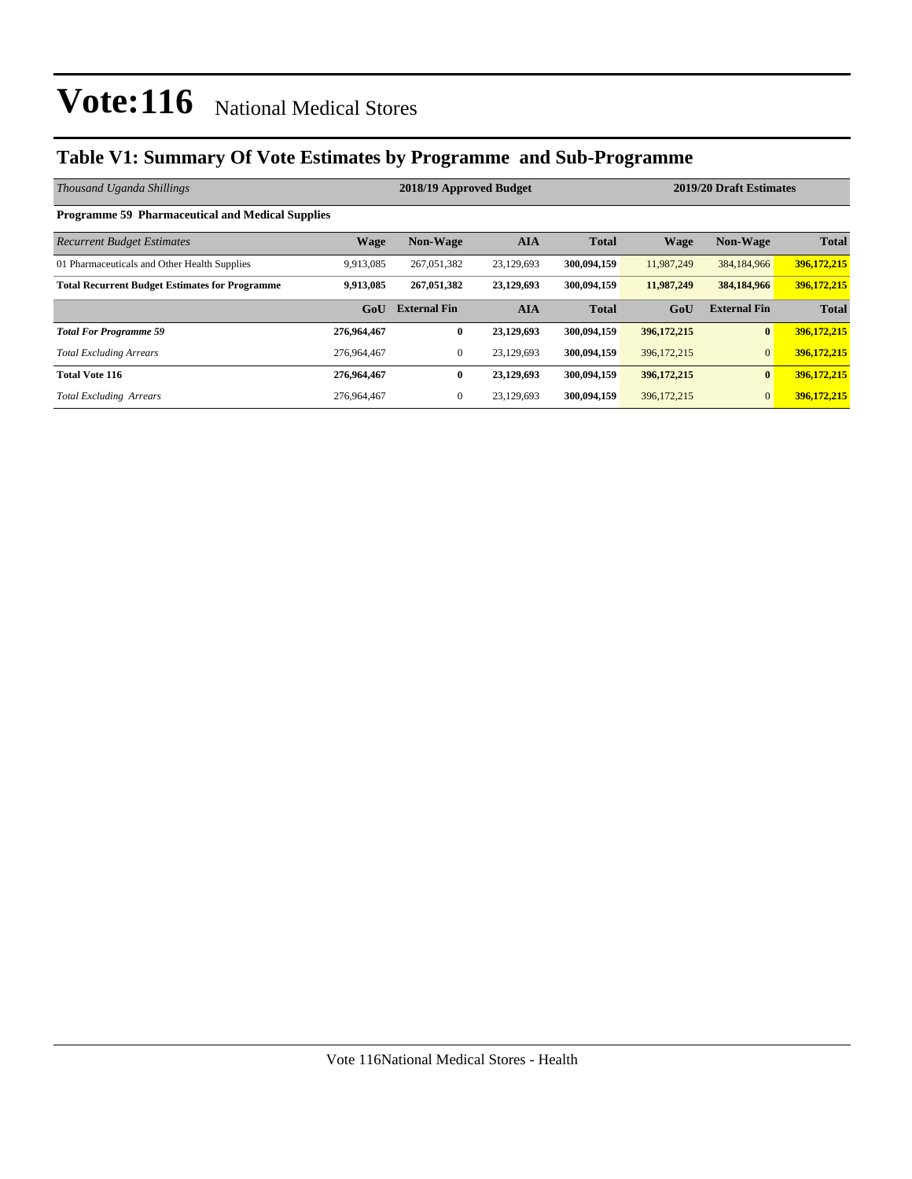### **Table V1: Summary Of Vote Estimates by Programme and Sub-Programme**

| Thousand Uganda Shillings                               |             | 2018/19 Approved Budget |            | 2019/20 Draft Estimates |               |                     |              |
|---------------------------------------------------------|-------------|-------------------------|------------|-------------------------|---------------|---------------------|--------------|
| <b>Programme 59 Pharmaceutical and Medical Supplies</b> |             |                         |            |                         |               |                     |              |
| <b>Recurrent Budget Estimates</b>                       | Wage        | <b>Non-Wage</b>         | <b>AIA</b> | <b>Total</b>            | <b>Wage</b>   | <b>Non-Wage</b>     | <b>Total</b> |
| 01 Pharmaceuticals and Other Health Supplies            | 9,913,085   | 267,051,382             | 23,129,693 | 300,094,159             | 11,987,249    | 384,184,966         | 396,172,215  |
| <b>Total Recurrent Budget Estimates for Programme</b>   | 9,913,085   | 267,051,382             | 23,129,693 | 300,094,159             | 11,987,249    | 384,184,966         | 396,172,215  |
|                                                         | GoU         | <b>External Fin</b>     | <b>AIA</b> | <b>Total</b>            | GoU           | <b>External Fin</b> | <b>Total</b> |
| <b>Total For Programme 59</b>                           | 276,964,467 | $\bf{0}$                | 23,129,693 | 300,094,159             | 396,172,215   | $\bf{0}$            | 396,172,215  |
| <b>Total Excluding Arrears</b>                          | 276,964,467 | $\mathbf{0}$            | 23,129,693 | 300,094,159             | 396, 172, 215 | $\overline{0}$      | 396,172,215  |
| <b>Total Vote 116</b>                                   | 276,964,467 | $\bf{0}$                | 23,129,693 | 300,094,159             | 396,172,215   | $\mathbf{0}$        | 396,172,215  |
| <b>Total Excluding Arrears</b>                          | 276,964,467 | $\mathbf{0}$            | 23,129,693 | 300,094,159             | 396,172,215   | $\overline{0}$      | 396,172,215  |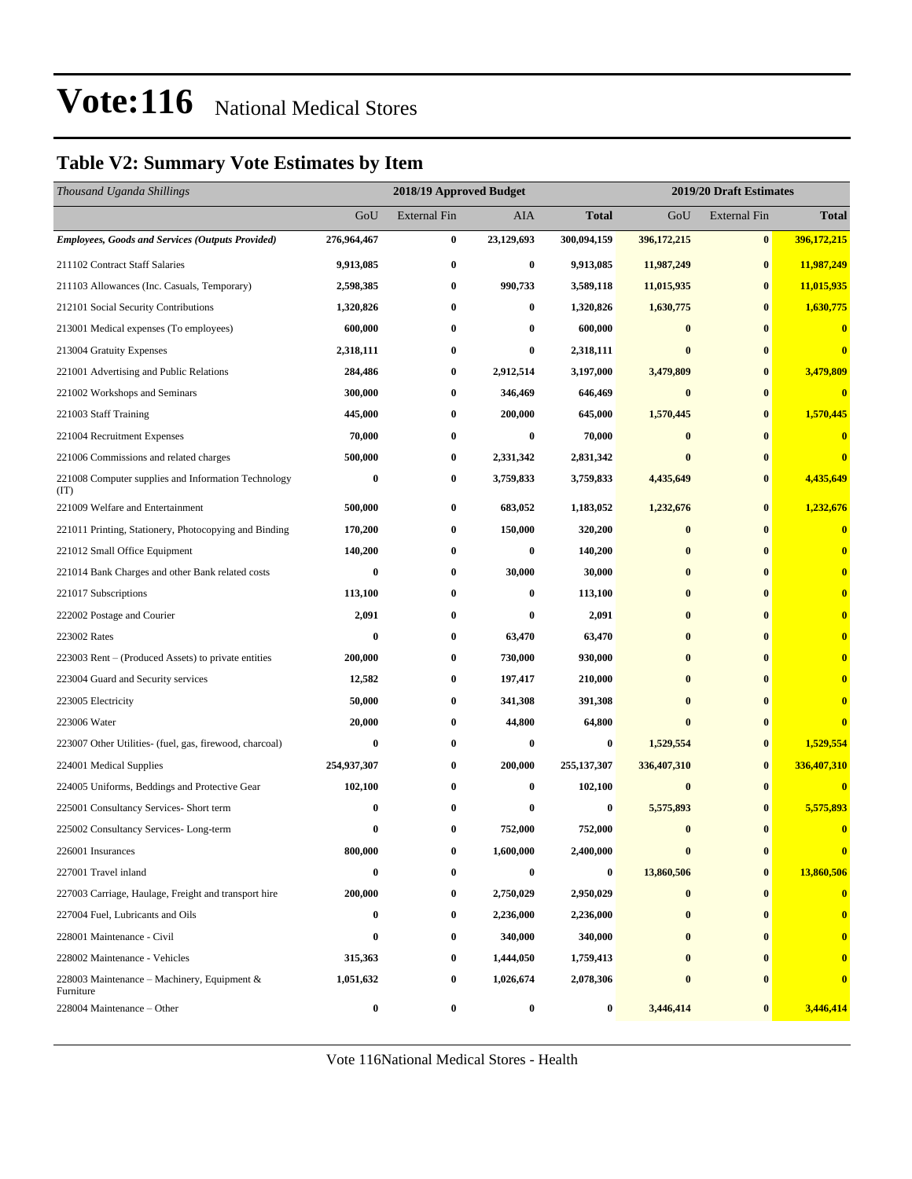### **Table V2: Summary Vote Estimates by Item**

| Thousand Uganda Shillings                                   |                  | 2019/20 Draft Estimates<br>2018/19 Approved Budget |            |              |               |                     |              |
|-------------------------------------------------------------|------------------|----------------------------------------------------|------------|--------------|---------------|---------------------|--------------|
|                                                             | GoU              | <b>External Fin</b>                                | AIA        | <b>Total</b> | GoU           | <b>External Fin</b> | <b>Total</b> |
| <b>Employees, Goods and Services (Outputs Provided)</b>     | 276,964,467      | $\bf{0}$                                           | 23,129,693 | 300,094,159  | 396, 172, 215 | $\bf{0}$            | 396,172,215  |
| 211102 Contract Staff Salaries                              | 9,913,085        | $\bf{0}$                                           | $\bf{0}$   | 9,913,085    | 11,987,249    | $\bf{0}$            | 11,987,249   |
| 211103 Allowances (Inc. Casuals, Temporary)                 | 2,598,385        | $\bf{0}$                                           | 990,733    | 3,589,118    | 11,015,935    | $\bf{0}$            | 11,015,935   |
| 212101 Social Security Contributions                        | 1,320,826        | $\bf{0}$                                           | 0          | 1,320,826    | 1,630,775     | $\bf{0}$            | 1,630,775    |
| 213001 Medical expenses (To employees)                      | 600,000          | $\bf{0}$                                           | $\bf{0}$   | 600,000      | $\bf{0}$      | $\bf{0}$            | $\bf{0}$     |
| 213004 Gratuity Expenses                                    | 2,318,111        | $\bf{0}$                                           | $\bf{0}$   | 2,318,111    | $\mathbf{0}$  | $\bf{0}$            | $\bf{0}$     |
| 221001 Advertising and Public Relations                     | 284,486          | $\bf{0}$                                           | 2,912,514  | 3,197,000    | 3,479,809     | $\bf{0}$            | 3,479,809    |
| 221002 Workshops and Seminars                               | 300,000          | $\bf{0}$                                           | 346,469    | 646,469      | $\bf{0}$      | $\bf{0}$            | $\bf{0}$     |
| 221003 Staff Training                                       | 445,000          | $\bf{0}$                                           | 200,000    | 645,000      | 1,570,445     | $\bf{0}$            | 1,570,445    |
| 221004 Recruitment Expenses                                 | 70,000           | $\bf{0}$                                           | $\bf{0}$   | 70,000       | $\bf{0}$      | $\bf{0}$            | $\bf{0}$     |
| 221006 Commissions and related charges                      | 500,000          | $\bf{0}$                                           | 2,331,342  | 2,831,342    | $\bf{0}$      | $\bf{0}$            |              |
| 221008 Computer supplies and Information Technology<br>(TT) | $\bf{0}$         | $\bf{0}$                                           | 3,759,833  | 3,759,833    | 4,435,649     | $\bf{0}$            | 4,435,649    |
| 221009 Welfare and Entertainment                            | 500,000          | $\bf{0}$                                           | 683,052    | 1,183,052    | 1,232,676     | $\bf{0}$            | 1,232,676    |
| 221011 Printing, Stationery, Photocopying and Binding       | 170,200          | $\bf{0}$                                           | 150,000    | 320,200      | $\bf{0}$      | $\bf{0}$            | $\bf{0}$     |
| 221012 Small Office Equipment                               | 140,200          | $\bf{0}$                                           | $\bf{0}$   | 140,200      | $\bf{0}$      | $\bf{0}$            | $\mathbf{0}$ |
| 221014 Bank Charges and other Bank related costs            | $\bf{0}$         | $\bf{0}$                                           | 30,000     | 30,000       | $\bf{0}$      | $\bf{0}$            | $\bf{0}$     |
| 221017 Subscriptions                                        | 113,100          | $\bf{0}$                                           | $\bf{0}$   | 113,100      | $\bf{0}$      | $\bf{0}$            |              |
| 222002 Postage and Courier                                  | 2,091            | $\bf{0}$                                           | 0          | 2,091        | $\bf{0}$      | $\bf{0}$            |              |
| 223002 Rates                                                | $\bf{0}$         | $\bf{0}$                                           | 63,470     | 63,470       | $\bf{0}$      | $\bf{0}$            |              |
| 223003 Rent – (Produced Assets) to private entities         | 200,000          | $\bf{0}$                                           | 730,000    | 930,000      | $\mathbf{0}$  | $\bf{0}$            |              |
| 223004 Guard and Security services                          | 12,582           | $\bf{0}$                                           | 197,417    | 210,000      | $\bf{0}$      | $\bf{0}$            |              |
| 223005 Electricity                                          | 50,000           | $\bf{0}$                                           | 341,308    | 391,308      | $\bf{0}$      | $\bf{0}$            |              |
| 223006 Water                                                | 20,000           | $\bf{0}$                                           | 44,800     | 64,800       | $\bf{0}$      | $\bf{0}$            |              |
| 223007 Other Utilities- (fuel, gas, firewood, charcoal)     | $\bf{0}$         | $\bf{0}$                                           | 0          | $\bf{0}$     | 1,529,554     | $\bf{0}$            | 1,529,554    |
| 224001 Medical Supplies                                     | 254,937,307      | $\bf{0}$                                           | 200,000    | 255,137,307  | 336,407,310   | $\bf{0}$            | 336,407,310  |
| 224005 Uniforms, Beddings and Protective Gear               | 102,100          | $\bf{0}$                                           | $\bf{0}$   | 102,100      | $\bf{0}$      | $\bf{0}$            | $\bf{0}$     |
| 225001 Consultancy Services- Short term                     | 0                | $\bf{0}$                                           | 0          | $\bf{0}$     | 5,575,893     | $\bf{0}$            | 5,575,893    |
| 225002 Consultancy Services-Long-term                       | 0                | $\bf{0}$                                           | 752,000    | 752,000      | $\bf{0}$      | $\bf{0}$            | $\bf{0}$     |
| 226001 Insurances                                           | 800,000          | $\bf{0}$                                           | 1,600,000  | 2,400,000    | $\bf{0}$      | $\bf{0}$            | $\bf{0}$     |
| 227001 Travel inland                                        | $\bf{0}$         | $\bf{0}$                                           | 0          | $\bf{0}$     | 13,860,506    | $\bf{0}$            | 13,860,506   |
| 227003 Carriage, Haulage, Freight and transport hire        | 200,000          | $\bf{0}$                                           | 2,750,029  | 2,950,029    | $\bf{0}$      | $\bf{0}$            | $\bf{0}$     |
| 227004 Fuel, Lubricants and Oils                            | $\bf{0}$         | $\bf{0}$                                           | 2,236,000  | 2,236,000    | $\bf{0}$      | $\bf{0}$            | $\bf{0}$     |
| 228001 Maintenance - Civil                                  | $\boldsymbol{0}$ | $\bf{0}$                                           | 340,000    | 340,000      | $\bf{0}$      | $\bf{0}$            | $\bf{0}$     |
| 228002 Maintenance - Vehicles                               | 315,363          | $\bf{0}$                                           | 1,444,050  | 1,759,413    | $\bf{0}$      | $\bf{0}$            |              |
| 228003 Maintenance – Machinery, Equipment $\&$<br>Furniture | 1,051,632        | $\bf{0}$                                           | 1,026,674  | 2,078,306    | $\bf{0}$      | 0                   | $\bf{0}$     |
| 228004 Maintenance – Other                                  | $\boldsymbol{0}$ | $\bf{0}$                                           | 0          | $\bf{0}$     | 3,446,414     | $\bf{0}$            | 3,446,414    |

Vote 116National Medical Stores - Health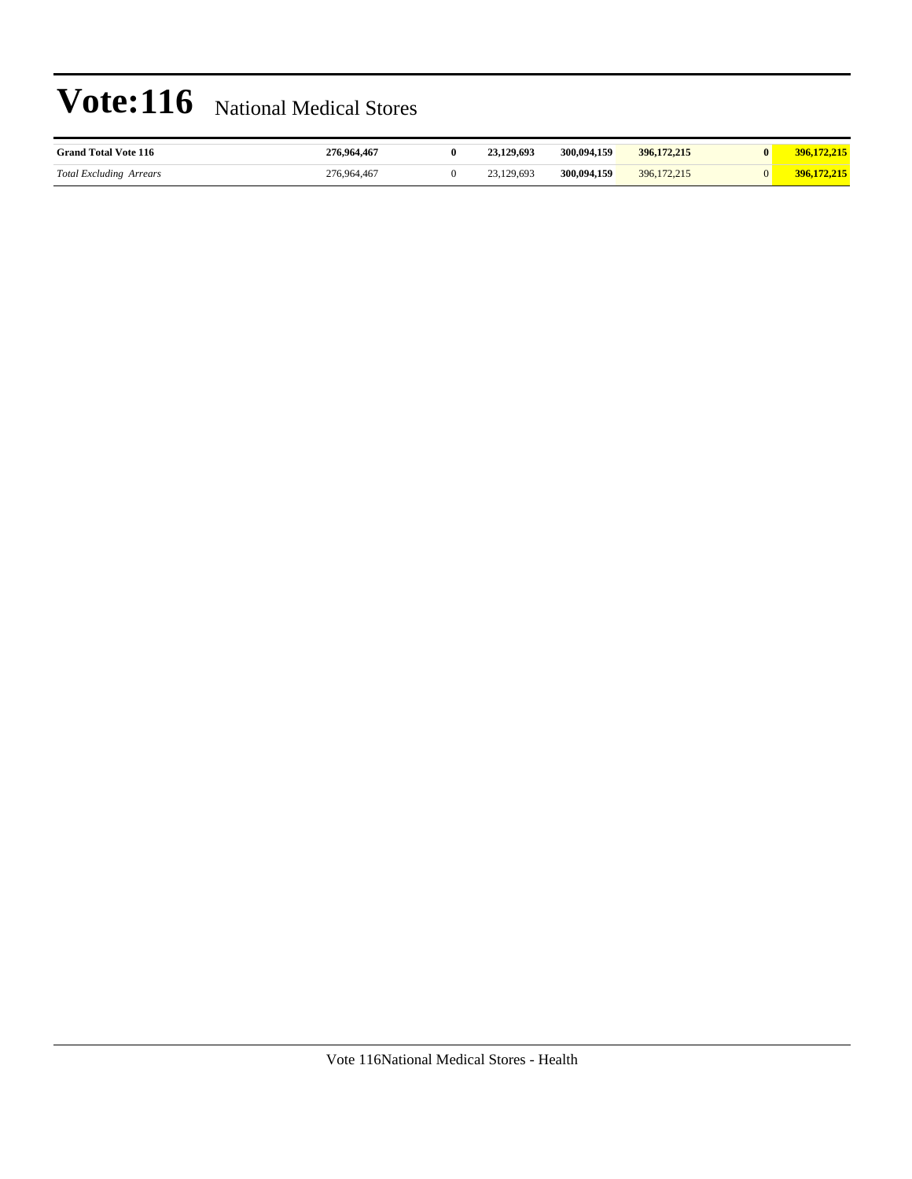| <b>Grand Total Vote 116</b>    | 276,964,467 | 23.129.693 | 300,094,159 | 396, 172, 215 | 396.172.215 |
|--------------------------------|-------------|------------|-------------|---------------|-------------|
| <b>Total Excluding Arrears</b> | 276,964,467 | 23.129.693 | 300,094,159 | 396, 172, 215 | 396,172,215 |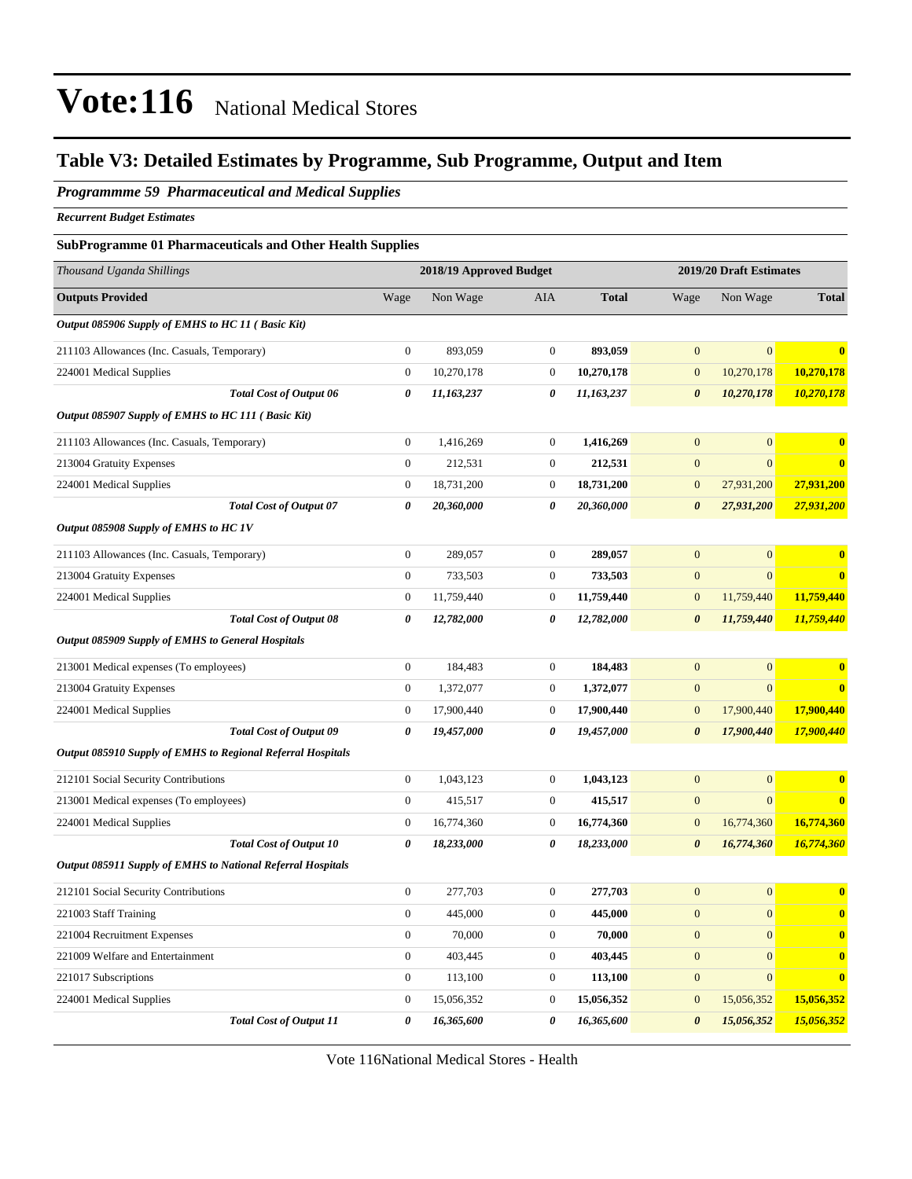### **Table V3: Detailed Estimates by Programme, Sub Programme, Output and Item**

*Programmme 59 Pharmaceutical and Medical Supplies*

*Recurrent Budget Estimates*

#### **SubProgramme 01 Pharmaceuticals and Other Health Supplies**

| Thousand Uganda Shillings                                   |                       | 2018/19 Approved Budget |                       |              |                       | 2019/20 Draft Estimates |              |  |
|-------------------------------------------------------------|-----------------------|-------------------------|-----------------------|--------------|-----------------------|-------------------------|--------------|--|
| <b>Outputs Provided</b>                                     | Wage                  | Non Wage                | <b>AIA</b>            | <b>Total</b> | Wage                  | Non Wage                | <b>Total</b> |  |
| Output 085906 Supply of EMHS to HC 11 (Basic Kit)           |                       |                         |                       |              |                       |                         |              |  |
| 211103 Allowances (Inc. Casuals, Temporary)                 | $\overline{0}$        | 893,059                 | $\boldsymbol{0}$      | 893,059      | $\mathbf{0}$          | $\overline{0}$          | $\bf{0}$     |  |
| 224001 Medical Supplies                                     | $\boldsymbol{0}$      | 10,270,178              | $\boldsymbol{0}$      | 10,270,178   | $\mathbf{0}$          | 10,270,178              | 10,270,178   |  |
| <b>Total Cost of Output 06</b>                              | 0                     | 11,163,237              | $\boldsymbol{\theta}$ | 11,163,237   | $\boldsymbol{\theta}$ | 10,270,178              | 10,270,178   |  |
| Output 085907 Supply of EMHS to HC 111 (Basic Kit)          |                       |                         |                       |              |                       |                         |              |  |
| 211103 Allowances (Inc. Casuals, Temporary)                 | $\boldsymbol{0}$      | 1,416,269               | $\mathbf{0}$          | 1,416,269    | $\mathbf{0}$          | $\mathbf{0}$            | $\bf{0}$     |  |
| 213004 Gratuity Expenses                                    | $\boldsymbol{0}$      | 212,531                 | $\boldsymbol{0}$      | 212,531      | $\mathbf{0}$          | $\overline{0}$          | $\bf{0}$     |  |
| 224001 Medical Supplies                                     | $\boldsymbol{0}$      | 18,731,200              | $\boldsymbol{0}$      | 18,731,200   | $\boldsymbol{0}$      | 27,931,200              | 27,931,200   |  |
| <b>Total Cost of Output 07</b>                              | $\boldsymbol{\theta}$ | 20,360,000              | 0                     | 20,360,000   | $\boldsymbol{\theta}$ | 27,931,200              | 27,931,200   |  |
| Output 085908 Supply of EMHS to HC 1V                       |                       |                         |                       |              |                       |                         |              |  |
| 211103 Allowances (Inc. Casuals, Temporary)                 | $\boldsymbol{0}$      | 289,057                 | $\boldsymbol{0}$      | 289,057      | $\mathbf{0}$          | $\overline{0}$          | $\bf{0}$     |  |
| 213004 Gratuity Expenses                                    | $\mathbf{0}$          | 733,503                 | $\mathbf{0}$          | 733,503      | $\mathbf{0}$          | $\overline{0}$          | $\bf{0}$     |  |
| 224001 Medical Supplies                                     | $\boldsymbol{0}$      | 11,759,440              | $\boldsymbol{0}$      | 11,759,440   | $\mathbf{0}$          | 11,759,440              | 11,759,440   |  |
| <b>Total Cost of Output 08</b>                              | 0                     | 12,782,000              | 0                     | 12,782,000   | $\boldsymbol{\theta}$ | 11,759,440              | 11,759,440   |  |
| Output 085909 Supply of EMHS to General Hospitals           |                       |                         |                       |              |                       |                         |              |  |
| 213001 Medical expenses (To employees)                      | $\mathbf{0}$          | 184,483                 | $\mathbf{0}$          | 184,483      | $\overline{0}$        | $\overline{0}$          | $\bf{0}$     |  |
| 213004 Gratuity Expenses                                    | $\boldsymbol{0}$      | 1,372,077               | $\mathbf{0}$          | 1,372,077    | $\mathbf{0}$          | $\mathbf{0}$            | $\bf{0}$     |  |
| 224001 Medical Supplies                                     | $\mathbf{0}$          | 17,900,440              | $\mathbf{0}$          | 17,900,440   | $\mathbf{0}$          | 17,900,440              | 17,900,440   |  |
| <b>Total Cost of Output 09</b>                              | $\boldsymbol{\theta}$ | 19,457,000              | $\pmb{\theta}$        | 19,457,000   | $\boldsymbol{\theta}$ | 17,900,440              | 17,900,440   |  |
| Output 085910 Supply of EMHS to Regional Referral Hospitals |                       |                         |                       |              |                       |                         |              |  |
| 212101 Social Security Contributions                        | $\boldsymbol{0}$      | 1,043,123               | $\boldsymbol{0}$      | 1,043,123    | $\mathbf{0}$          | $\overline{0}$          | $\bf{0}$     |  |
| 213001 Medical expenses (To employees)                      | $\mathbf{0}$          | 415,517                 | $\mathbf{0}$          | 415,517      | $\mathbf{0}$          | $\overline{0}$          | $\bf{0}$     |  |
| 224001 Medical Supplies                                     | $\boldsymbol{0}$      | 16,774,360              | $\boldsymbol{0}$      | 16,774,360   | $\mathbf{0}$          | 16,774,360              | 16,774,360   |  |
| <b>Total Cost of Output 10</b>                              | 0                     | 18,233,000              | $\pmb{\theta}$        | 18,233,000   | $\boldsymbol{\theta}$ | 16,774,360              | 16,774,360   |  |
| Output 085911 Supply of EMHS to National Referral Hospitals |                       |                         |                       |              |                       |                         |              |  |
| 212101 Social Security Contributions                        | $\boldsymbol{0}$      | 277,703                 | $\mathbf{0}$          | 277,703      | $\mathbf{0}$          | $\overline{0}$          | $\bf{0}$     |  |
| 221003 Staff Training                                       | $\boldsymbol{0}$      | 445,000                 | $\boldsymbol{0}$      | 445,000      | $\mathbf{0}$          | $\overline{0}$          | $\mathbf{0}$ |  |
| 221004 Recruitment Expenses                                 | $\boldsymbol{0}$      | 70,000                  | $\boldsymbol{0}$      | 70,000       | $\mathbf{0}$          | $\boldsymbol{0}$        | $\mathbf{0}$ |  |
| 221009 Welfare and Entertainment                            | $\boldsymbol{0}$      | 403,445                 | $\mathbf{0}$          | 403,445      | $\mathbf{0}$          | $\overline{0}$          | $\bf{0}$     |  |
| 221017 Subscriptions                                        | $\boldsymbol{0}$      | 113,100                 | $\mathbf{0}$          | 113,100      | $\mathbf{0}$          | $\boldsymbol{0}$        | $\bf{0}$     |  |
| 224001 Medical Supplies                                     | $\overline{0}$        | 15,056,352              | $\mathbf{0}$          | 15,056,352   | $\overline{0}$        | 15,056,352              | 15,056,352   |  |
| <b>Total Cost of Output 11</b>                              | 0                     | 16,365,600              | 0                     | 16,365,600   | $\boldsymbol{\theta}$ | 15,056,352              | 15,056,352   |  |

Vote 116National Medical Stores - Health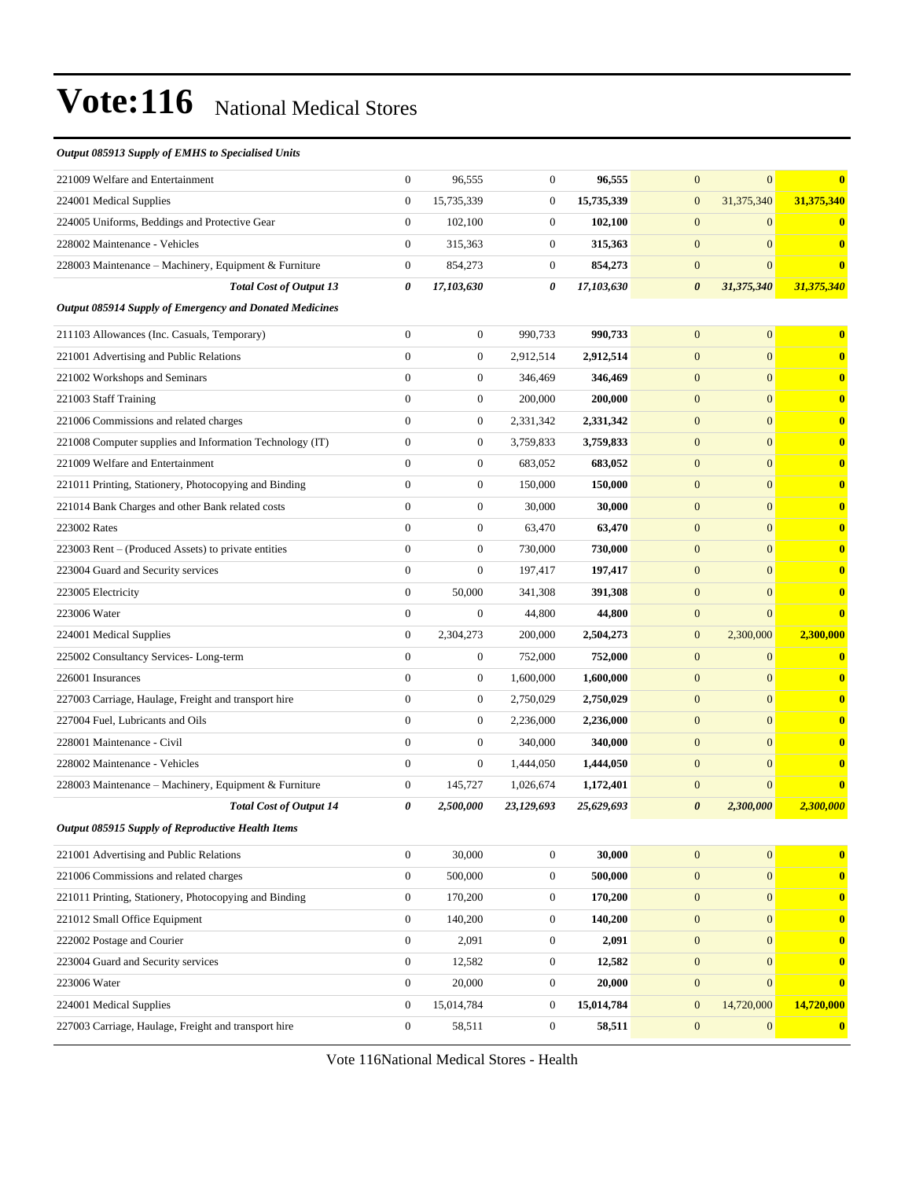#### *Output 085913 Supply of EMHS to Specialised Units*

| 221009 Welfare and Entertainment                         | $\mathbf{0}$          | 96,555           | $\boldsymbol{0}$ | 96,555     | $\mathbf{0}$<br>$\overline{0}$      | $\bf{0}$     |
|----------------------------------------------------------|-----------------------|------------------|------------------|------------|-------------------------------------|--------------|
| 224001 Medical Supplies                                  | $\mathbf{0}$          | 15,735,339       | $\boldsymbol{0}$ | 15,735,339 | $\mathbf{0}$<br>31,375,340          | 31,375,340   |
| 224005 Uniforms, Beddings and Protective Gear            | $\boldsymbol{0}$      | 102,100          | $\boldsymbol{0}$ | 102,100    | $\mathbf{0}$<br>$\mathbf{0}$        | $\bf{0}$     |
| 228002 Maintenance - Vehicles                            | $\mathbf{0}$          | 315,363          | $\boldsymbol{0}$ | 315,363    | $\overline{0}$<br>$\mathbf{0}$      | $\mathbf{0}$ |
| 228003 Maintenance – Machinery, Equipment & Furniture    | $\mathbf{0}$          | 854,273          | $\boldsymbol{0}$ | 854,273    | $\mathbf{0}$<br>$\overline{0}$      | $\bf{0}$     |
| <b>Total Cost of Output 13</b>                           | $\boldsymbol{\theta}$ | 17,103,630       | 0                | 17,103,630 | $\boldsymbol{\theta}$<br>31,375,340 | 31,375,340   |
| Output 085914 Supply of Emergency and Donated Medicines  |                       |                  |                  |            |                                     |              |
| 211103 Allowances (Inc. Casuals, Temporary)              | $\mathbf{0}$          | $\boldsymbol{0}$ | 990,733          | 990,733    | $\mathbf{0}$<br>$\boldsymbol{0}$    | $\bf{0}$     |
| 221001 Advertising and Public Relations                  | $\overline{0}$        | $\boldsymbol{0}$ | 2,912,514        | 2,912,514  | $\mathbf{0}$<br>$\overline{0}$      | $\bf{0}$     |
| 221002 Workshops and Seminars                            | $\mathbf{0}$          | $\boldsymbol{0}$ | 346,469          | 346,469    | $\overline{0}$<br>$\mathbf{0}$      | $\bf{0}$     |
| 221003 Staff Training                                    | $\overline{0}$        | $\boldsymbol{0}$ | 200,000          | 200,000    | $\mathbf{0}$<br>$\overline{0}$      | $\bf{0}$     |
| 221006 Commissions and related charges                   | $\mathbf{0}$          | $\boldsymbol{0}$ | 2,331,342        | 2,331,342  | $\mathbf{0}$<br>$\overline{0}$      | $\bf{0}$     |
| 221008 Computer supplies and Information Technology (IT) | $\overline{0}$        | $\boldsymbol{0}$ | 3,759,833        | 3,759,833  | $\mathbf{0}$<br>$\overline{0}$      | $\bf{0}$     |
| 221009 Welfare and Entertainment                         | $\overline{0}$        | $\boldsymbol{0}$ | 683,052          | 683,052    | $\overline{0}$<br>$\mathbf{0}$      | $\bf{0}$     |
| 221011 Printing, Stationery, Photocopying and Binding    | $\boldsymbol{0}$      | $\boldsymbol{0}$ | 150,000          | 150,000    | $\overline{0}$<br>$\mathbf{0}$      | $\bf{0}$     |
| 221014 Bank Charges and other Bank related costs         | $\overline{0}$        | $\boldsymbol{0}$ | 30.000           | 30,000     | $\mathbf{0}$<br>$\overline{0}$      | $\bf{0}$     |
| 223002 Rates                                             | $\mathbf{0}$          | $\boldsymbol{0}$ | 63,470           | 63,470     | $\mathbf{0}$<br>$\overline{0}$      | $\bf{0}$     |
| 223003 Rent – (Produced Assets) to private entities      | $\overline{0}$        | $\boldsymbol{0}$ | 730,000          | 730,000    | $\mathbf{0}$<br>$\overline{0}$      | $\bf{0}$     |
| 223004 Guard and Security services                       | $\overline{0}$        | $\boldsymbol{0}$ | 197,417          | 197,417    | $\mathbf{0}$<br>$\overline{0}$      | $\bf{0}$     |
| 223005 Electricity                                       | $\boldsymbol{0}$      | 50,000           | 341,308          | 391,308    | $\overline{0}$<br>$\mathbf{0}$      | $\bf{0}$     |
| 223006 Water                                             | $\overline{0}$        | $\boldsymbol{0}$ | 44,800           | 44,800     | $\mathbf{0}$<br>$\overline{0}$      | $\bf{0}$     |
| 224001 Medical Supplies                                  | $\mathbf{0}$          | 2,304,273        | 200,000          | 2,504,273  | 2,300,000<br>$\mathbf{0}$           | 2,300,000    |
| 225002 Consultancy Services-Long-term                    | $\mathbf{0}$          | $\boldsymbol{0}$ | 752,000          | 752,000    | $\mathbf{0}$<br>$\overline{0}$      | $\bf{0}$     |
| 226001 Insurances                                        | $\overline{0}$        | $\boldsymbol{0}$ | 1,600,000        | 1,600,000  | $\overline{0}$<br>$\mathbf{0}$      | $\bf{0}$     |
| 227003 Carriage, Haulage, Freight and transport hire     | $\mathbf{0}$          | $\boldsymbol{0}$ | 2,750,029        | 2,750,029  | $\mathbf{0}$<br>$\overline{0}$      | $\bf{0}$     |
| 227004 Fuel, Lubricants and Oils                         | $\overline{0}$        | $\boldsymbol{0}$ | 2,236,000        | 2,236,000  | $\mathbf{0}$<br>$\overline{0}$      | $\bf{0}$     |
| 228001 Maintenance - Civil                               | $\overline{0}$        | $\boldsymbol{0}$ | 340,000          | 340,000    | $\mathbf{0}$<br>$\overline{0}$      | $\bf{0}$     |
| 228002 Maintenance - Vehicles                            | $\overline{0}$        | $\boldsymbol{0}$ | 1,444,050        | 1,444,050  | $\mathbf{0}$<br>$\overline{0}$      | $\bf{0}$     |
| 228003 Maintenance - Machinery, Equipment & Furniture    | $\boldsymbol{0}$      | 145,727          | 1,026,674        | 1,172,401  | $\overline{0}$<br>$\mathbf{0}$      | $\bf{0}$     |
| <b>Total Cost of Output 14</b>                           | 0                     | 2,500,000        | 23,129,693       | 25,629,693 | $\boldsymbol{\theta}$<br>2,300,000  | 2,300,000    |
| Output 085915 Supply of Reproductive Health Items        |                       |                  |                  |            |                                     |              |
| 221001 Advertising and Public Relations                  | $\boldsymbol{0}$      | 30,000           | $\boldsymbol{0}$ | 30,000     | $\mathbf{0}$<br>$\overline{0}$      | $\bf{0}$     |
| 221006 Commissions and related charges                   | $\mathbf{0}$          | 500,000          | $\overline{0}$   | 500,000    | $\boldsymbol{0}$<br>$\overline{0}$  | $\bf{0}$     |
| 221011 Printing, Stationery, Photocopying and Binding    | $\mathbf{0}$          | 170,200          | $\boldsymbol{0}$ | 170,200    | $\boldsymbol{0}$<br>$\overline{0}$  | $\mathbf{0}$ |
| 221012 Small Office Equipment                            | $\boldsymbol{0}$      | 140,200          | $\boldsymbol{0}$ | 140,200    | $\mathbf{0}$<br>$\overline{0}$      | $\bf{0}$     |
| 222002 Postage and Courier                               | $\mathbf{0}$          | 2,091            | $\boldsymbol{0}$ | 2,091      | $\mathbf{0}$<br>$\overline{0}$      | $\bf{0}$     |
| 223004 Guard and Security services                       | $\mathbf{0}$          | 12,582           | $\boldsymbol{0}$ | 12,582     | $\boldsymbol{0}$<br>$\overline{0}$  | $\bf{0}$     |
| 223006 Water                                             | $\mathbf{0}$          | 20,000           | $\boldsymbol{0}$ | 20,000     | $\boldsymbol{0}$<br>$\overline{0}$  | $\bf{0}$     |
| 224001 Medical Supplies                                  | $\boldsymbol{0}$      | 15,014,784       | $\boldsymbol{0}$ | 15,014,784 | 14,720,000<br>$\mathbf{0}$          | 14,720,000   |
| 227003 Carriage, Haulage, Freight and transport hire     | $\mathbf{0}$          | 58,511           | $\boldsymbol{0}$ | 58,511     | $\mathbf{0}$<br>$\overline{0}$      | $\bf{0}$     |
|                                                          |                       |                  |                  |            |                                     |              |

Vote 116National Medical Stores - Health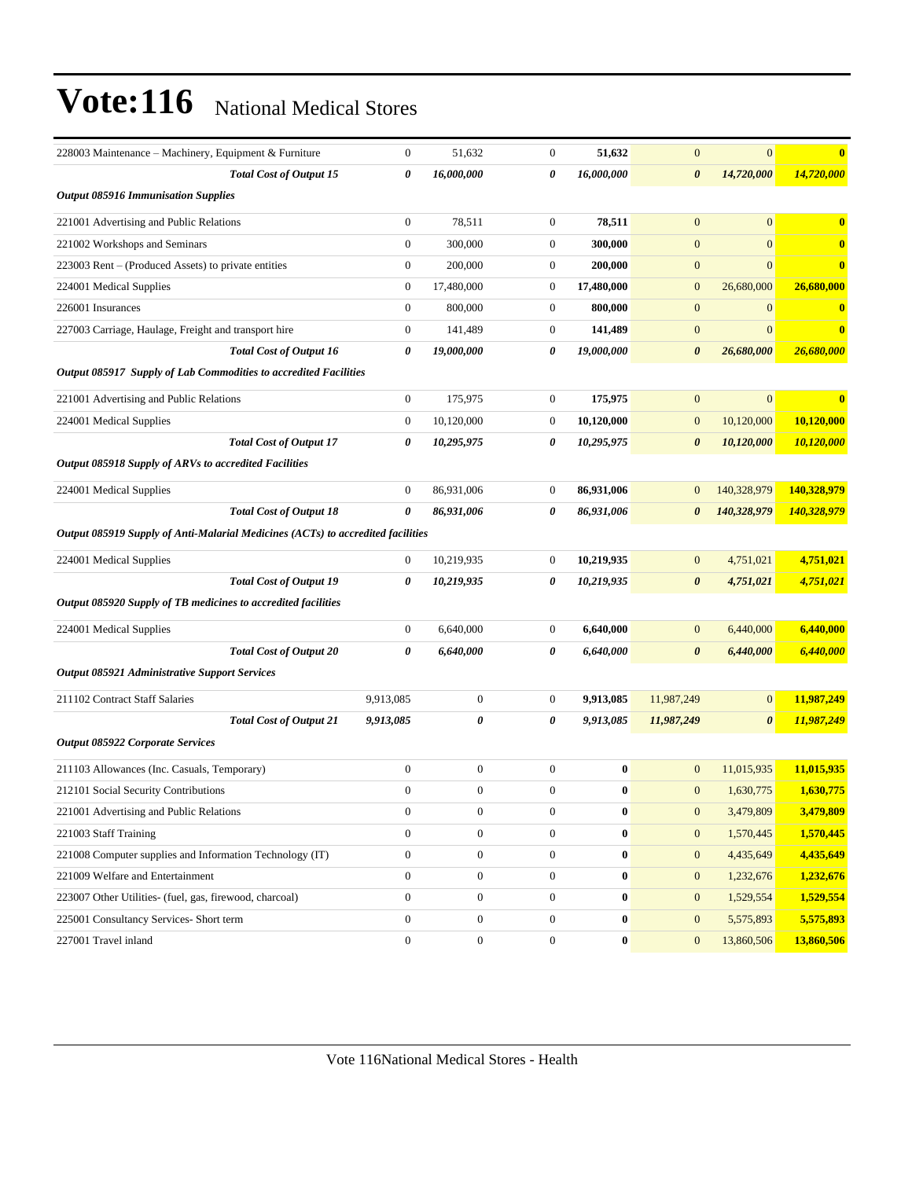| 228003 Maintenance – Machinery, Equipment & Furniture                           |                                | 0                | 51,632           | $\boldsymbol{0}$ | 51,632     | $\mathbf{0}$          | $\overline{0}$        | $\bf{0}$    |
|---------------------------------------------------------------------------------|--------------------------------|------------------|------------------|------------------|------------|-----------------------|-----------------------|-------------|
|                                                                                 | <b>Total Cost of Output 15</b> | 0                | 16,000,000       | 0                | 16,000,000 | $\boldsymbol{\theta}$ | 14,720,000            | 14,720,000  |
| <b>Output 085916 Immunisation Supplies</b>                                      |                                |                  |                  |                  |            |                       |                       |             |
| 221001 Advertising and Public Relations                                         |                                | $\boldsymbol{0}$ | 78,511           | $\boldsymbol{0}$ | 78,511     | $\mathbf{0}$          | $\overline{0}$        | $\bf{0}$    |
| 221002 Workshops and Seminars                                                   |                                | $\boldsymbol{0}$ | 300,000          | $\boldsymbol{0}$ | 300,000    | $\mathbf{0}$          | $\mathbf{0}$          | $\bf{0}$    |
| 223003 Rent – (Produced Assets) to private entities                             |                                | $\boldsymbol{0}$ | 200,000          | $\mathbf{0}$     | 200,000    | $\mathbf{0}$          | $\boldsymbol{0}$      | $\bf{0}$    |
| 224001 Medical Supplies                                                         |                                | $\boldsymbol{0}$ | 17,480,000       | $\boldsymbol{0}$ | 17,480,000 | $\mathbf{0}$          | 26,680,000            | 26,680,000  |
| 226001 Insurances                                                               |                                | $\boldsymbol{0}$ | 800,000          | $\boldsymbol{0}$ | 800,000    | $\mathbf{0}$          | $\mathbf{0}$          | $\bf{0}$    |
| 227003 Carriage, Haulage, Freight and transport hire                            |                                | $\boldsymbol{0}$ | 141,489          | $\boldsymbol{0}$ | 141,489    | $\mathbf{0}$          | $\mathbf{0}$          | $\bf{0}$    |
|                                                                                 | <b>Total Cost of Output 16</b> | 0                | 19,000,000       | 0                | 19,000,000 | $\boldsymbol{\theta}$ | 26,680,000            | 26,680,000  |
| Output 085917 Supply of Lab Commodities to accredited Facilities                |                                |                  |                  |                  |            |                       |                       |             |
| 221001 Advertising and Public Relations                                         |                                | $\boldsymbol{0}$ | 175,975          | $\boldsymbol{0}$ | 175,975    | $\mathbf{0}$          | $\mathbf{0}$          | $\bf{0}$    |
| 224001 Medical Supplies                                                         |                                | $\boldsymbol{0}$ | 10,120,000       | $\boldsymbol{0}$ | 10,120,000 | $\mathbf{0}$          | 10,120,000            | 10,120,000  |
|                                                                                 | <b>Total Cost of Output 17</b> | 0                | 10,295,975       | 0                | 10,295,975 | $\boldsymbol{\theta}$ | 10,120,000            | 10,120,000  |
| Output 085918 Supply of ARVs to accredited Facilities                           |                                |                  |                  |                  |            |                       |                       |             |
| 224001 Medical Supplies                                                         |                                | $\boldsymbol{0}$ | 86,931,006       | $\boldsymbol{0}$ | 86,931,006 | $\mathbf{0}$          | 140,328,979           | 140,328,979 |
|                                                                                 | <b>Total Cost of Output 18</b> | 0                | 86,931,006       | 0                | 86,931,006 | $\boldsymbol{\theta}$ | 140,328,979           | 140,328,979 |
| Output 085919 Supply of Anti-Malarial Medicines (ACTs) to accredited facilities |                                |                  |                  |                  |            |                       |                       |             |
| 224001 Medical Supplies                                                         |                                | $\boldsymbol{0}$ | 10,219,935       | $\mathbf{0}$     | 10,219,935 | $\mathbf{0}$          | 4,751,021             | 4,751,021   |
|                                                                                 | <b>Total Cost of Output 19</b> | 0                | 10,219,935       | 0                | 10,219,935 | $\boldsymbol{\theta}$ | 4,751,021             | 4,751,021   |
| Output 085920 Supply of TB medicines to accredited facilities                   |                                |                  |                  |                  |            |                       |                       |             |
|                                                                                 |                                |                  |                  |                  |            |                       |                       |             |
| 224001 Medical Supplies                                                         |                                | 0                | 6,640,000        | $\boldsymbol{0}$ | 6,640,000  | $\mathbf{0}$          | 6,440,000             | 6,440,000   |
|                                                                                 | <b>Total Cost of Output 20</b> | 0                | 6,640,000        | 0                | 6,640,000  | $\boldsymbol{\theta}$ | 6,440,000             | 6,440,000   |
| <b>Output 085921 Administrative Support Services</b>                            |                                |                  |                  |                  |            |                       |                       |             |
| 211102 Contract Staff Salaries                                                  |                                | 9,913,085        | $\boldsymbol{0}$ | $\mathbf{0}$     | 9,913,085  | 11,987,249            | $\mathbf{0}$          | 11,987,249  |
|                                                                                 | <b>Total Cost of Output 21</b> | 9,913,085        | 0                | 0                | 9,913,085  | 11,987,249            | $\boldsymbol{\theta}$ | 11,987,249  |
| <b>Output 085922 Corporate Services</b>                                         |                                |                  |                  |                  |            |                       |                       |             |
| 211103 Allowances (Inc. Casuals, Temporary)                                     |                                | $\boldsymbol{0}$ | $\boldsymbol{0}$ | $\boldsymbol{0}$ | $\bf{0}$   | $\mathbf{0}$          | 11,015,935            | 11,015,935  |
| 212101 Social Security Contributions                                            |                                | $\boldsymbol{0}$ | $\boldsymbol{0}$ | $\boldsymbol{0}$ | $\bf{0}$   | $\mathbf{0}$          | 1,630,775             | 1,630,775   |
| 221001 Advertising and Public Relations                                         |                                | $\boldsymbol{0}$ | $\boldsymbol{0}$ | $\boldsymbol{0}$ | $\bf{0}$   | $\boldsymbol{0}$      | 3,479,809             | 3,479,809   |
| 221003 Staff Training                                                           |                                | $\boldsymbol{0}$ | $\boldsymbol{0}$ | $\boldsymbol{0}$ | $\pmb{0}$  | $\mathbf{0}$          | 1,570,445             | 1,570,445   |
| 221008 Computer supplies and Information Technology (IT)                        |                                | $\boldsymbol{0}$ | $\boldsymbol{0}$ | $\mathbf{0}$     | $\bf{0}$   | $\mathbf{0}$          | 4,435,649             | 4,435,649   |
| 221009 Welfare and Entertainment                                                |                                | $\boldsymbol{0}$ | $\boldsymbol{0}$ | $\boldsymbol{0}$ | $\bf{0}$   | $\boldsymbol{0}$      | 1,232,676             | 1,232,676   |
| 223007 Other Utilities- (fuel, gas, firewood, charcoal)                         |                                | $\boldsymbol{0}$ | $\boldsymbol{0}$ | $\boldsymbol{0}$ | $\bf{0}$   | $\mathbf{0}$          | 1,529,554             | 1,529,554   |
| 225001 Consultancy Services- Short term                                         |                                | $\boldsymbol{0}$ | $\boldsymbol{0}$ | $\boldsymbol{0}$ | $\bf{0}$   | $\mathbf{0}$          | 5,575,893             | 5,575,893   |
| 227001 Travel inland                                                            |                                | $\boldsymbol{0}$ | $\boldsymbol{0}$ | $\boldsymbol{0}$ | $\bf{0}$   | $\mathbf{0}$          | 13,860,506            | 13,860,506  |